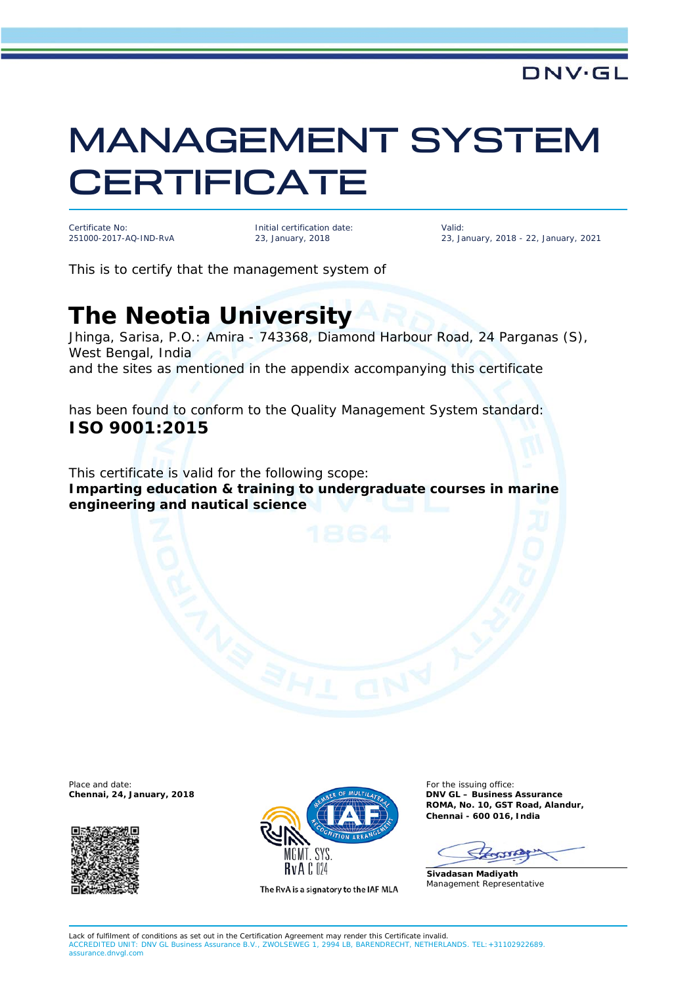## MANAGEMENT SYSTEM **CERTIFICATE**

Certificate No: 251000-2017-AQ-IND-RvA

Initial certification date: 23, January, 2018

Valid: 23, January, 2018 - 22, January, 2021

**DNV·GL** 

This is to certify that the management system of

## **The Neotia University**

Jhinga, Sarisa, P.O.: Amira - 743368, Diamond Harbour Road, 24 Parganas (S), West Bengal, India and the sites as mentioned in the appendix accompanying this certificate

has been found to conform to the Quality Management System standard: **ISO 9001:2015**

This certificate is valid for the following scope: **Imparting education & training to undergraduate courses in marine engineering and nautical science**





The RvA is a signatory to the IAF MLA

**Chennai, 24, January, 2018 DNV GL – Business Assurance ROMA, No. 10, GST Road, Alandur, Chennai - 600 016, India**

**Sivadasan Madiyath** Management Representative

Lack of fulfilment of conditions as set out in the Certification Agreement may render this Certificate invalid.<br>ACCREDITED UNIT: DNV GL Business Assurance B.V., ZWOLSEWEG 1, 2994 LB, BARENDRECHT, NETHERL LB. BARENDRECHT. NETHERLANDS. TEL: +31102922689 assurance.dnvgl.com